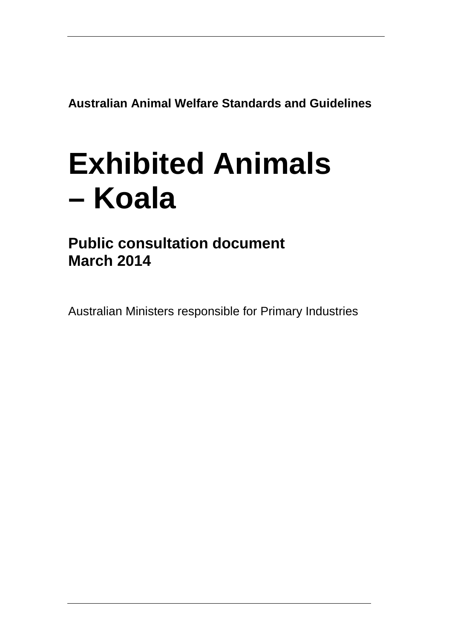**Australian Animal Welfare Standards and Guidelines**

# **Exhibited Animals – Koala**

**Public consultation document March 2014**

Australian Ministers responsible for Primary Industries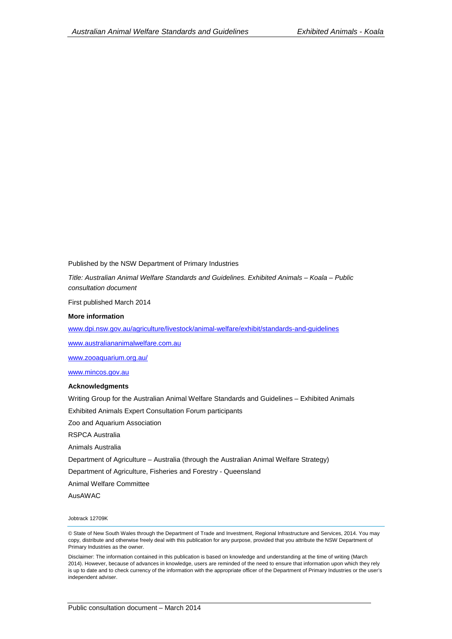Published by the NSW Department of Primary Industries

*Title: Australian Animal Welfare Standards and Guidelines. Exhibited Animals – Koala – Public consultation document*

First published March 2014

#### **More information**

[www.dpi.nsw.gov.au/agriculture/livestock/animal-welfare/exhibit/standards-and-guidelines](http://www.dpi.nsw.gov.au/agriculture/livestock/animal-welfare/exhibit/standards-and-guidelines) 

[www.australiananimalwelfare.com.au](http://www.australiananimalwelfare.com.au/)

[www.zooaquarium.org.au/](http://www.zooaquarium.org.au/)

[www.mincos.gov.au](http://www.mincos.gov.au/)

#### **Acknowledgments**

Writing Group for the Australian Animal Welfare Standards and Guidelines – Exhibited Animals

Exhibited Animals Expert Consultation Forum participants

Zoo and Aquarium Association

RSPCA Australia

Animals Australia

Department of Agriculture – Australia (through the Australian Animal Welfare Strategy)

Department of Agriculture, Fisheries and Forestry - Queensland

Animal Welfare Committee

AusAWAC

Jobtrack 12709K

© State of New South Wales through the Department of Trade and Investment, Regional Infrastructure and Services, 2014. You may copy, distribute and otherwise freely deal with this publication for any purpose, provided that you attribute the NSW Department of Primary Industries as the owner.

Disclaimer: The information contained in this publication is based on knowledge and understanding at the time of writing (March 2014). However, because of advances in knowledge, users are reminded of the need to ensure that information upon which they rely is up to date and to check currency of the information with the appropriate officer of the Department of Primary Industries or the user's independent adviser.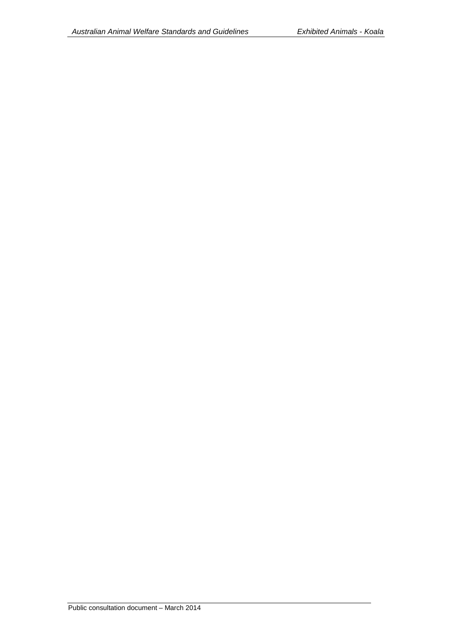Public consultation document – March 2014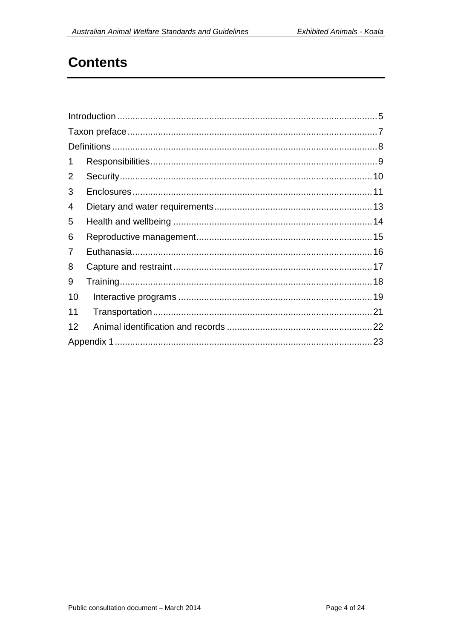# **Contents**

| 1  |  |  |  |
|----|--|--|--|
| 2  |  |  |  |
| 3  |  |  |  |
| 4  |  |  |  |
| 5  |  |  |  |
| 6  |  |  |  |
| 7  |  |  |  |
| 8  |  |  |  |
| 9  |  |  |  |
| 10 |  |  |  |
| 11 |  |  |  |
| 12 |  |  |  |
|    |  |  |  |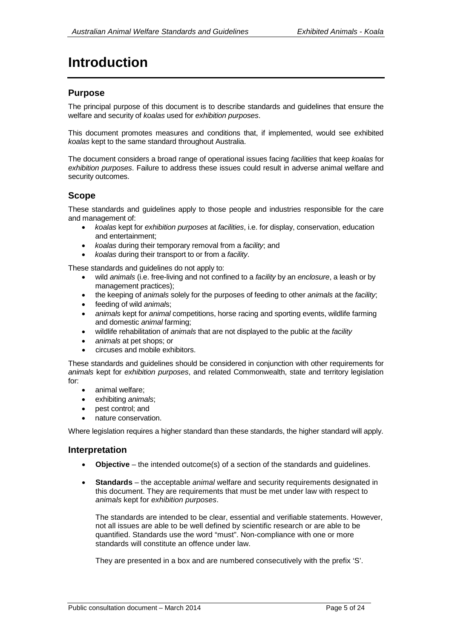# <span id="page-4-0"></span>**Introduction**

#### **Purpose**

The principal purpose of this document is to describe standards and guidelines that ensure the welfare and security of *koalas* used for *exhibition purposes*.

This document promotes measures and conditions that, if implemented, would see exhibited *koalas* kept to the same standard throughout Australia.

The document considers a broad range of operational issues facing *facilities* that keep *koalas* for *exhibition purposes*. Failure to address these issues could result in adverse animal welfare and security outcomes.

#### **Scope**

These standards and guidelines apply to those people and industries responsible for the care and management of:

- *koalas* kept for *exhibition purposes* at *facilities*, i.e. for display, conservation, education and entertainment;
- *koalas* during their temporary removal from a *facility*; and
- *koalas* during their transport to or from a *facility*.

These standards and guidelines do not apply to:

- wild *animals* (i.e. free-living and not confined to a *facility* by an *enclosure*, a leash or by management practices);
- the keeping of *animals* solely for the purposes of feeding to other *animals* at the *facility*;
- feeding of wild *animal*s;
- *animals* kept for *animal* competitions, horse racing and sporting events, wildlife farming and domestic *animal* farming;
- wildlife rehabilitation of *animals* that are not displayed to the public at the *facility*
- *animals* at pet shops; or
- circuses and mobile exhibitors.

These standards and guidelines should be considered in conjunction with other requirements for *animals* kept for *exhibition purposes*, and related Commonwealth, state and territory legislation for:

- animal welfare:
- exhibiting *animals*;
- pest control; and
- nature conservation.

Where legislation requires a higher standard than these standards, the higher standard will apply.

#### **Interpretation**

- **Objective** the intended outcome(s) of a section of the standards and guidelines.
- **Standards** the acceptable *animal* welfare and security requirements designated in this document. They are requirements that must be met under law with respect to *animals* kept for *exhibition purposes*.

The standards are intended to be clear, essential and verifiable statements. However, not all issues are able to be well defined by scientific research or are able to be quantified. Standards use the word "must". Non-compliance with one or more standards will constitute an offence under law.

They are presented in a box and are numbered consecutively with the prefix 'S'.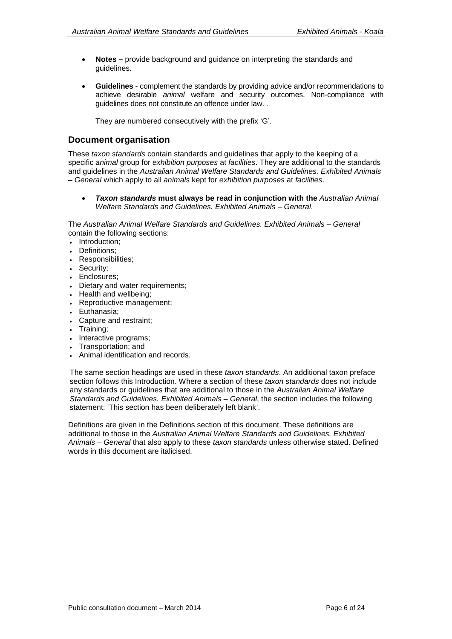- **Notes –** provide background and guidance on interpreting the standards and guidelines.
- **Guidelines** complement the standards by providing advice and/or recommendations to achieve desirable *animal* welfare and security outcomes. Non-compliance with guidelines does not constitute an offence under law. .

They are numbered consecutively with the prefix 'G'.

#### **Document organisation**

These *taxon standards* contain standards and guidelines that apply to the keeping of a specific *animal* group for *exhibition purposes* at *facilities*. They are additional to the standards and guidelines in the *Australian Animal Welfare Standards and Guidelines. Exhibited Animals – General* which apply to all *animals* kept for *exhibition purposes* at *facilities*.

• *Taxon standards* **must always be read in conjunction with the** *Australian Animal Welfare Standards and Guidelines. Exhibited Animals – General*.

The *Australian Animal Welfare Standards and Guidelines. Exhibited Animals – General* contain the following sections:

- Introduction;
- Definitions;
- Responsibilities;
- Security;
- Enclosures;
- Dietary and water requirements;
- Health and wellbeing;
- Reproductive management;
- Euthanasia;
- Capture and restraint;
- Training;
- Interactive programs;
- Transportation; and
- Animal identification and records.

The same section headings are used in these *taxon standards*. An additional taxon preface section follows this Introduction. Where a section of these *taxon standards* does not include any standards or guidelines that are additional to those in the *Australian Animal Welfare Standards and Guidelines. Exhibited Animals – General*, the section includes the following statement: 'This section has been deliberately left blank'.

Definitions are given in the Definitions section of this document. These definitions are additional to those in the *Australian Animal Welfare Standards and Guidelines. Exhibited Animals – General* that also apply to these *taxon standards* unless otherwise stated. Defined words in this document are italicised.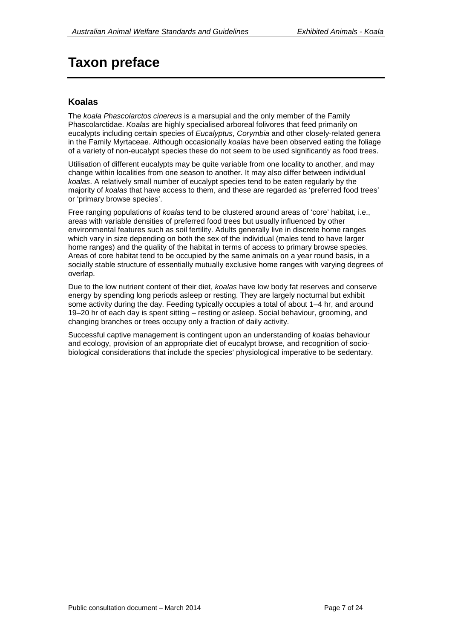# <span id="page-6-0"></span>**Taxon preface**

#### **Koalas**

The *koala Phascolarctos cinereus* is a marsupial and the only member of the Family Phascolarctidae. *Koalas* are highly specialised arboreal folivores that feed primarily on eucalypts including certain species of *Eucalyptus*, *Corymbia* and other closely-related genera in the Family Myrtaceae. Although occasionally *koalas* have been observed eating the foliage of a variety of non-eucalypt species these do not seem to be used significantly as food trees.

Utilisation of different eucalypts may be quite variable from one locality to another, and may change within localities from one season to another. It may also differ between individual *koalas*. A relatively small number of eucalypt species tend to be eaten regularly by the majority of *koalas* that have access to them, and these are regarded as 'preferred food trees' or 'primary browse species'.

Free ranging populations of *koalas* tend to be clustered around areas of 'core' habitat, i.e., areas with variable densities of preferred food trees but usually influenced by other environmental features such as soil fertility. Adults generally live in discrete home ranges which vary in size depending on both the sex of the individual (males tend to have larger home ranges) and the quality of the habitat in terms of access to primary browse species. Areas of core habitat tend to be occupied by the same animals on a year round basis, in a socially stable structure of essentially mutually exclusive home ranges with varying degrees of overlap.

Due to the low nutrient content of their diet, *koalas* have low body fat reserves and conserve energy by spending long periods asleep or resting. They are largely nocturnal but exhibit some activity during the day. Feeding typically occupies a total of about 1–4 hr, and around 19–20 hr of each day is spent sitting – resting or asleep. Social behaviour, grooming, and changing branches or trees occupy only a fraction of daily activity.

Successful captive management is contingent upon an understanding of *koalas* behaviour and ecology, provision of an appropriate diet of eucalypt browse, and recognition of sociobiological considerations that include the species' physiological imperative to be sedentary.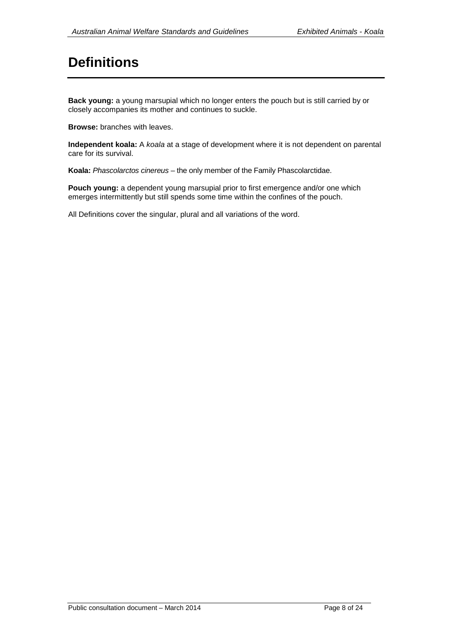# <span id="page-7-0"></span>**Definitions**

**Back young:** a young marsupial which no longer enters the pouch but is still carried by or closely accompanies its mother and continues to suckle.

**Browse:** branches with leaves.

**Independent koala:** A *koala* at a stage of development where it is not dependent on parental care for its survival.

**Koala:** *Phascolarctos cinereus* – the only member of the Family Phascolarctidae.

**Pouch young:** a dependent young marsupial prior to first emergence and/or one which emerges intermittently but still spends some time within the confines of the pouch.

All Definitions cover the singular, plural and all variations of the word.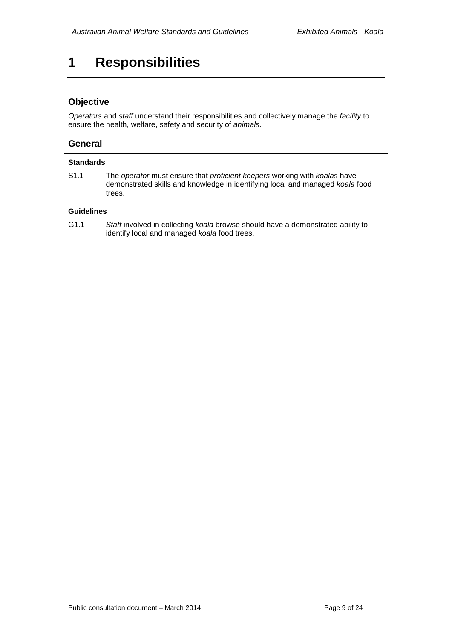# <span id="page-8-0"></span>**1 Responsibilities**

#### **Objective**

*Operators* and *staff* understand their responsibilities and collectively manage the *facility* to ensure the health, welfare, safety and security of *animals*.

#### **General**

| <b>Standards</b> |                                                                                                                                                                                           |  |
|------------------|-------------------------------------------------------------------------------------------------------------------------------------------------------------------------------------------|--|
| S <sub>1.1</sub> | The <i>operator</i> must ensure that <i>proficient keepers</i> working with <i>koalas</i> have<br>demonstrated skills and knowledge in identifying local and managed koala food<br>trees. |  |

#### **Guidelines**

G1.1 *Staff* involved in collecting *koala* browse should have a demonstrated ability to identify local and managed *koala* food trees.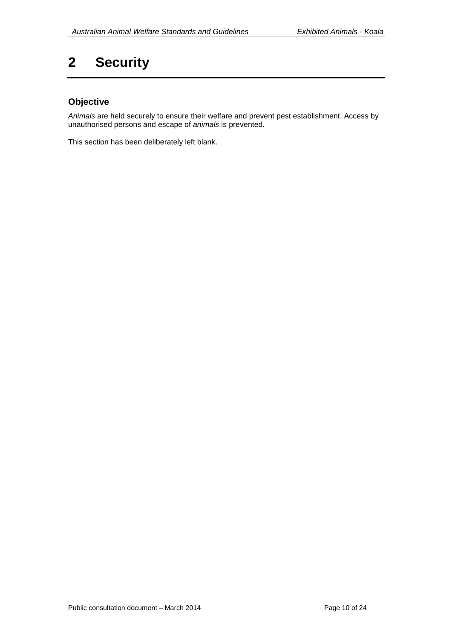# <span id="page-9-0"></span>**2 Security**

#### **Objective**

*Animals* are held securely to ensure their welfare and prevent pest establishment. Access by unauthorised persons and escape of *animals* is prevented.

This section has been deliberately left blank.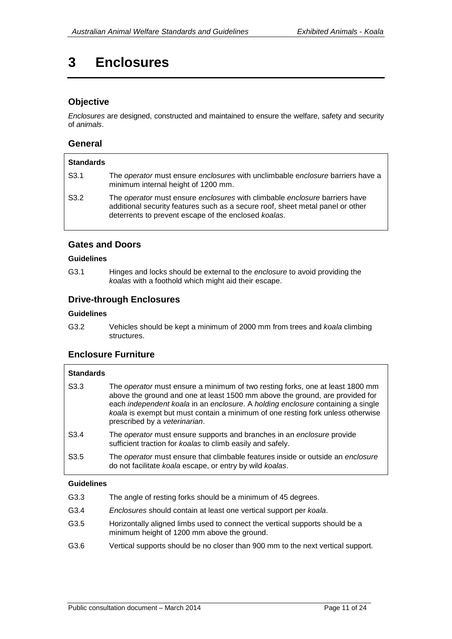# <span id="page-10-0"></span>**3 Enclosures**

#### **Objective**

*Enclosures* are designed, constructed and maintained to ensure the welfare, safety and security of *animals*.

#### **General**

| <b>Standards</b> |                                                                                                                                                                                                                      |
|------------------|----------------------------------------------------------------------------------------------------------------------------------------------------------------------------------------------------------------------|
| S <sub>3.1</sub> | The operator must ensure enclosures with unclimbable enclosure barriers have a<br>minimum internal height of 1200 mm.                                                                                                |
| S <sub>3.2</sub> | The operator must ensure enclosures with climbable enclosure barriers have<br>additional security features such as a secure roof, sheet metal panel or other<br>deterrents to prevent escape of the enclosed koalas. |

#### **Gates and Doors**

#### **Guidelines**

G3.1 Hinges and locks should be external to the *enclosure* to avoid providing the *koalas* with a foothold which might aid their escape.

#### **Drive-through Enclosures**

#### **Guidelines**

G3.2 Vehicles should be kept a minimum of 2000 mm from trees and *koala* climbing structures.

#### **Enclosure Furniture**

| <b>Standards</b> |                                                                                                                                                                                                                                                                                                                                                                             |
|------------------|-----------------------------------------------------------------------------------------------------------------------------------------------------------------------------------------------------------------------------------------------------------------------------------------------------------------------------------------------------------------------------|
| S <sub>3.3</sub> | The <i>operator</i> must ensure a minimum of two resting forks, one at least 1800 mm<br>above the ground and one at least 1500 mm above the ground, are provided for<br>each independent koala in an enclosure. A holding enclosure containing a single<br>koala is exempt but must contain a minimum of one resting fork unless otherwise<br>prescribed by a veterinarian. |
| S <sub>3.4</sub> | The operator must ensure supports and branches in an enclosure provide<br>sufficient traction for koalas to climb easily and safely.                                                                                                                                                                                                                                        |
| S <sub>3.5</sub> | The operator must ensure that climbable features inside or outside an enclosure<br>do not facilitate koala escape, or entry by wild koalas.                                                                                                                                                                                                                                 |

#### **Guidelines**

| G3.3 | The angle of resting forks should be a minimum of 45 degrees. |
|------|---------------------------------------------------------------|
|------|---------------------------------------------------------------|

- G3.4 *Enclosures* should contain at least one vertical support per *koala*.
- G3.5 Horizontally aligned limbs used to connect the vertical supports should be a minimum height of 1200 mm above the ground.
- G3.6 Vertical supports should be no closer than 900 mm to the next vertical support.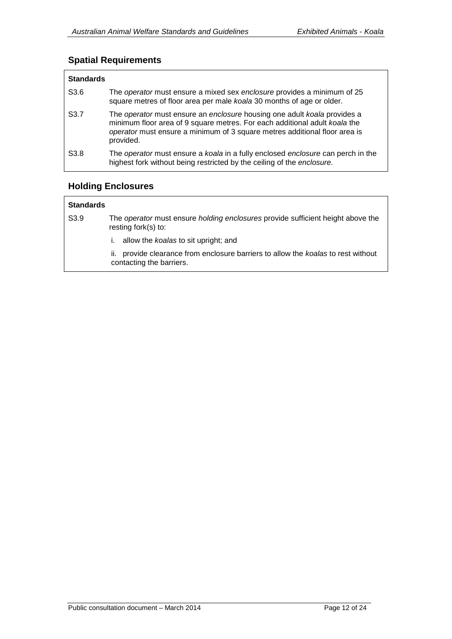#### **Spatial Requirements**

| <b>Standards</b> |                                                                                                                                                                                                                                                                        |
|------------------|------------------------------------------------------------------------------------------------------------------------------------------------------------------------------------------------------------------------------------------------------------------------|
| S <sub>3.6</sub> | The <i>operator</i> must ensure a mixed sex enclosure provides a minimum of 25<br>square metres of floor area per male koala 30 months of age or older.                                                                                                                |
| S <sub>3.7</sub> | The <i>operator</i> must ensure an <i>enclosure</i> housing one adult <i>koala</i> provides a<br>minimum floor area of 9 square metres. For each additional adult koala the<br>operator must ensure a minimum of 3 square metres additional floor area is<br>provided. |
| S <sub>3.8</sub> | The <i>operator</i> must ensure a <i>koala</i> in a fully enclosed <i>enclosure</i> can perch in the<br>highest fork without being restricted by the ceiling of the enclosure.                                                                                         |

#### **Holding Enclosures**

#### **Standards**

| S <sub>3.9</sub> | The <i>operator</i> must ensure <i>holding enclosures</i> provide sufficient height above the |
|------------------|-----------------------------------------------------------------------------------------------|
|                  | resting fork(s) to:                                                                           |
|                  | المستحي والمساوي والمستحل والمستقل والمستحلة والقارن والمسالح                                 |

i. allow the *koalas* to sit upright; and

ii. provide clearance from enclosure barriers to allow the *koalas* to rest without contacting the barriers.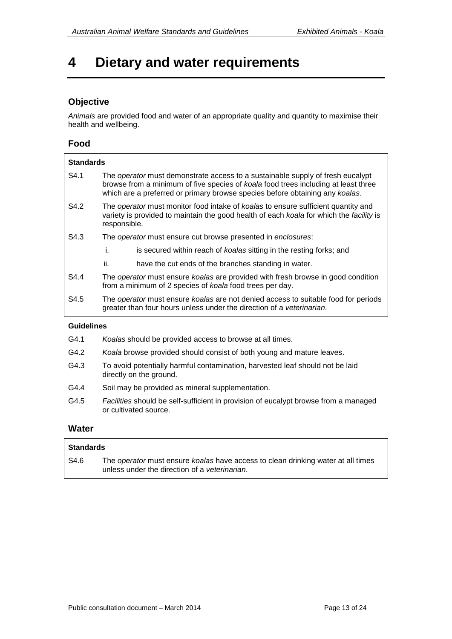# <span id="page-12-0"></span>**4 Dietary and water requirements**

#### **Objective**

*Animals* are provided food and water of an appropriate quality and quantity to maximise their health and wellbeing.

#### **Food**

| <b>Standards</b> |                                                                                                                                                                                                                                                      |                                                                     |
|------------------|------------------------------------------------------------------------------------------------------------------------------------------------------------------------------------------------------------------------------------------------------|---------------------------------------------------------------------|
| S4.1             | The operator must demonstrate access to a sustainable supply of fresh eucalypt<br>browse from a minimum of five species of koala food trees including at least three<br>which are a preferred or primary browse species before obtaining any koalas. |                                                                     |
| S4.2             | The <i>operator</i> must monitor food intake of <i>koalas</i> to ensure sufficient quantity and<br>variety is provided to maintain the good health of each koala for which the facility is<br>responsible.                                           |                                                                     |
| S4.3             | The operator must ensure cut browse presented in enclosures:                                                                                                                                                                                         |                                                                     |
|                  | i.                                                                                                                                                                                                                                                   | is secured within reach of koalas sitting in the resting forks; and |
|                  | ii.                                                                                                                                                                                                                                                  | have the cut ends of the branches standing in water.                |
| S4.4             | The operator must ensure koalas are provided with fresh browse in good condition<br>from a minimum of 2 species of koala food trees per day.                                                                                                         |                                                                     |
| S4.5             | The operator must ensure koalas are not denied access to suitable food for periods<br>greater than four hours unless under the direction of a veterinarian.                                                                                          |                                                                     |

#### **Guidelines**

- G4.1 *Koalas* should be provided access to browse at all times.
- G4.2 *Koala* browse provided should consist of both young and mature leaves.
- G4.3 To avoid potentially harmful contamination, harvested leaf should not be laid directly on the ground.
- G4.4 Soil may be provided as mineral supplementation.
- G4.5 *Facilities* should be self-sufficient in provision of eucalypt browse from a managed or cultivated source.

#### **Water**

| <b>Standards</b> |                                                                                                                                                 |  |
|------------------|-------------------------------------------------------------------------------------------------------------------------------------------------|--|
| S4.6             | The <i>operator</i> must ensure <i>koalas</i> have access to clean drinking water at all times<br>unless under the direction of a veterinarian. |  |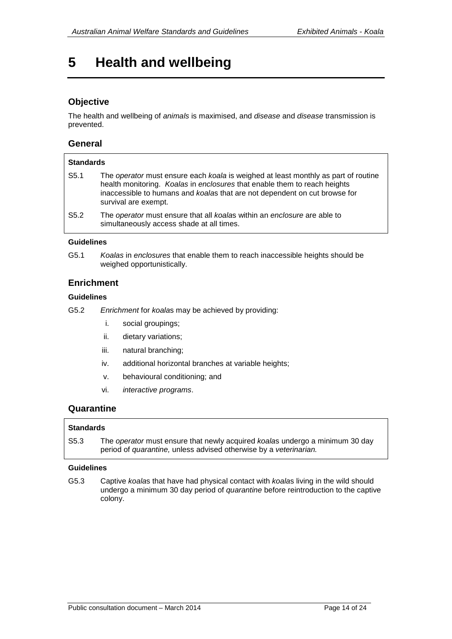# <span id="page-13-0"></span>**5 Health and wellbeing**

#### **Objective**

The health and wellbeing of *animals* is maximised, and *disease* and *disease* transmission is prevented.

#### **General**

| <b>Standards</b> |                                                                                                                                                                                                                                                                                     |  |
|------------------|-------------------------------------------------------------------------------------------------------------------------------------------------------------------------------------------------------------------------------------------------------------------------------------|--|
| S5.1             | The <i>operator</i> must ensure each <i>koala</i> is weighed at least monthly as part of routine<br>health monitoring. Koalas in enclosures that enable them to reach heights<br>inaccessible to humans and koalas that are not dependent on cut browse for<br>survival are exempt. |  |
| S <sub>5.2</sub> | The operator must ensure that all koalas within an enclosure are able to<br>simultaneously access shade at all times.                                                                                                                                                               |  |

#### **Guidelines**

G5.1 *Koalas* in *enclosures* that enable them to reach inaccessible heights should be weighed opportunistically.

#### **Enrichment**

#### **Guidelines**

G5.2 *Enrichment* for *koala*s may be achieved by providing:

- i. social groupings;
- ii. dietary variations;
- iii. natural branching;
- iv. additional horizontal branches at variable heights;
- v. behavioural conditioning; and
- vi. *interactive programs*.

#### **Quarantine**

#### **Standards**

```
S5.3 The operator must ensure that newly acquired koalas undergo a minimum 30 day 
period of quarantine, unless advised otherwise by a veterinarian.
```
#### **Guidelines**

G5.3 Captive *koala*s that have had physical contact with *koala*s living in the wild should undergo a minimum 30 day period of *quarantine* before reintroduction to the captive colony.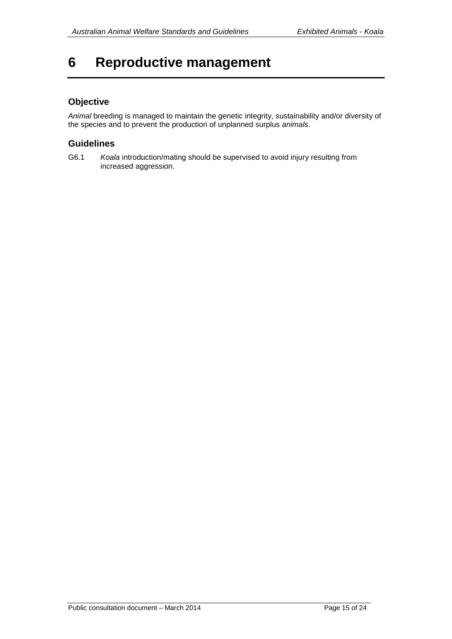# <span id="page-14-0"></span>**6 Reproductive management**

#### **Objective**

*Animal* breeding is managed to maintain the genetic integrity, sustainability and/or diversity of the species and to prevent the production of unplanned surplus *animals*.

#### **Guidelines**

G6.1 *Koala* introduction/mating should be supervised to avoid injury resulting from increased aggression.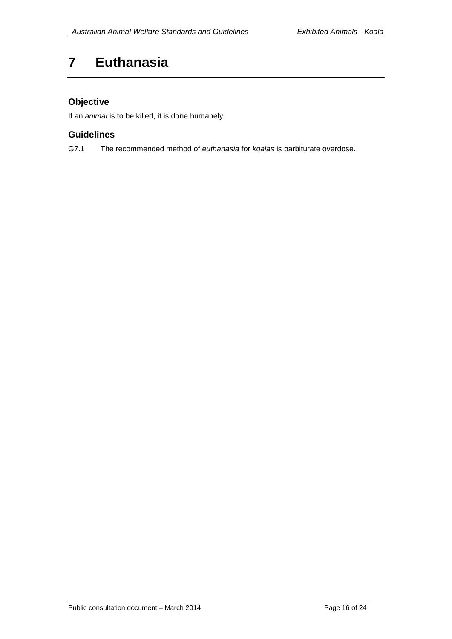# <span id="page-15-0"></span>**7 Euthanasia**

#### **Objective**

If an *animal* is to be killed, it is done humanely.

#### **Guidelines**

G7.1 The recommended method of *euthanasia* for *koalas* is barbiturate overdose.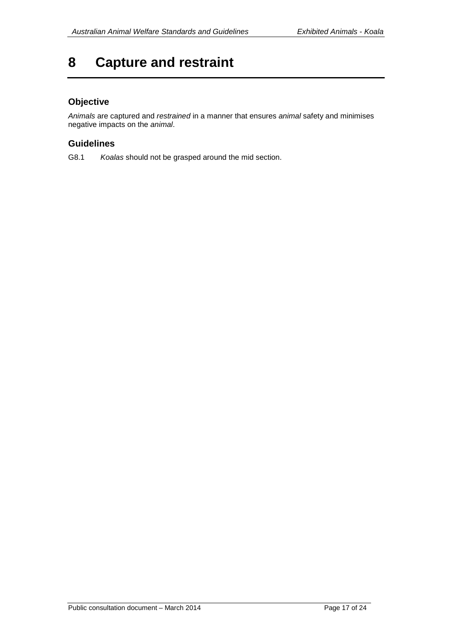# <span id="page-16-0"></span>**8 Capture and restraint**

#### **Objective**

*Animals* are captured and *restrained* in a manner that ensures *animal* safety and minimises negative impacts on the *animal*.

#### **Guidelines**

G8.1 *Koalas* should not be grasped around the mid section.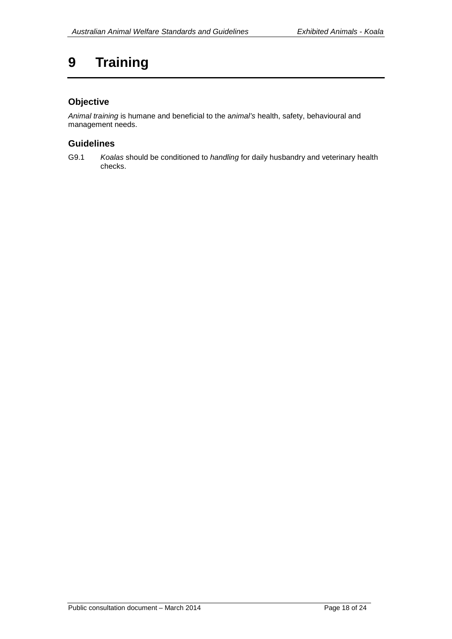# <span id="page-17-0"></span>**9 Training**

#### **Objective**

*Animal training* is humane and beneficial to the a*nimal's* health, safety, behavioural and management needs.

#### **Guidelines**

G9.1 *Koalas* should be conditioned to *handling* for daily husbandry and veterinary health checks.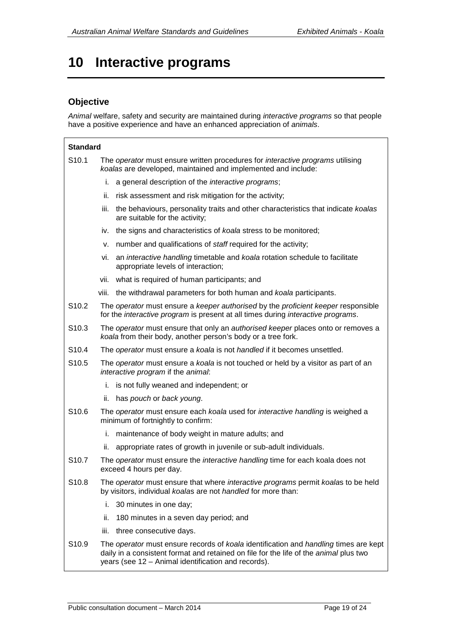### <span id="page-18-0"></span>**10 Interactive programs**

#### **Objective**

*Animal* welfare, safety and security are maintained during *interactive programs* so that people have a positive experience and have an enhanced appreciation of *animals*.

| <b>Standard</b>   |                                                                                                                                                         |                                                                                                                                                                                                                                      |  |
|-------------------|---------------------------------------------------------------------------------------------------------------------------------------------------------|--------------------------------------------------------------------------------------------------------------------------------------------------------------------------------------------------------------------------------------|--|
| S <sub>10.1</sub> | The operator must ensure written procedures for interactive programs utilising<br>koalas are developed, maintained and implemented and include:         |                                                                                                                                                                                                                                      |  |
|                   |                                                                                                                                                         | i. a general description of the <i>interactive programs</i> ;                                                                                                                                                                        |  |
|                   |                                                                                                                                                         | ii. risk assessment and risk mitigation for the activity;                                                                                                                                                                            |  |
|                   | iii.                                                                                                                                                    | the behaviours, personality traits and other characteristics that indicate koalas<br>are suitable for the activity;                                                                                                                  |  |
|                   |                                                                                                                                                         | iv. the signs and characteristics of koala stress to be monitored;                                                                                                                                                                   |  |
|                   | v.                                                                                                                                                      | number and qualifications of staff required for the activity;                                                                                                                                                                        |  |
|                   |                                                                                                                                                         | vi. an interactive handling timetable and koala rotation schedule to facilitate<br>appropriate levels of interaction;                                                                                                                |  |
|                   |                                                                                                                                                         | vii. what is required of human participants; and                                                                                                                                                                                     |  |
|                   |                                                                                                                                                         | viii. the withdrawal parameters for both human and koala participants.                                                                                                                                                               |  |
| S <sub>10.2</sub> |                                                                                                                                                         | The operator must ensure a keeper authorised by the proficient keeper responsible<br>for the interactive program is present at all times during interactive programs.                                                                |  |
| S <sub>10.3</sub> | The operator must ensure that only an <i>authorised keeper</i> places onto or removes a<br>koala from their body, another person's body or a tree fork. |                                                                                                                                                                                                                                      |  |
| S <sub>10.4</sub> |                                                                                                                                                         | The operator must ensure a koala is not handled if it becomes unsettled.                                                                                                                                                             |  |
| S <sub>10.5</sub> | The operator must ensure a koala is not touched or held by a visitor as part of an<br>interactive program if the animal:                                |                                                                                                                                                                                                                                      |  |
|                   | i.                                                                                                                                                      | is not fully weaned and independent; or                                                                                                                                                                                              |  |
|                   | ii.                                                                                                                                                     | has pouch or back young.                                                                                                                                                                                                             |  |
| S <sub>10.6</sub> | The operator must ensure each koala used for interactive handling is weighed a<br>minimum of fortnightly to confirm:                                    |                                                                                                                                                                                                                                      |  |
|                   | i.                                                                                                                                                      | maintenance of body weight in mature adults; and                                                                                                                                                                                     |  |
|                   | ii.                                                                                                                                                     | appropriate rates of growth in juvenile or sub-adult individuals.                                                                                                                                                                    |  |
| S <sub>10.7</sub> | The operator must ensure the interactive handling time for each koala does not<br>exceed 4 hours per day.                                               |                                                                                                                                                                                                                                      |  |
| S10.8             | The operator must ensure that where interactive programs permit koalas to be held<br>by visitors, individual koalas are not handled for more than:      |                                                                                                                                                                                                                                      |  |
|                   | i.                                                                                                                                                      | 30 minutes in one day;                                                                                                                                                                                                               |  |
|                   | ii.                                                                                                                                                     | 180 minutes in a seven day period; and                                                                                                                                                                                               |  |
|                   | iii.                                                                                                                                                    | three consecutive days.                                                                                                                                                                                                              |  |
| S <sub>10.9</sub> |                                                                                                                                                         | The operator must ensure records of koala identification and handling times are kept<br>daily in a consistent format and retained on file for the life of the animal plus two<br>years (see 12 - Animal identification and records). |  |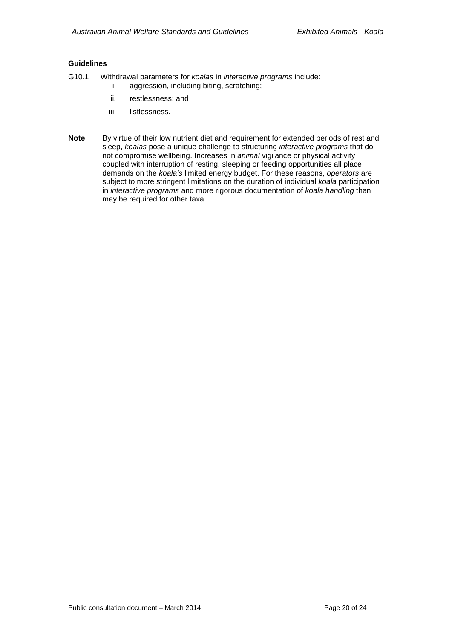#### **Guidelines**

- G10.1 Withdrawal parameters for *koalas* in *interactive programs* include:
	- i. aggression, including biting, scratching;
	- ii. restlessness; and
	- iii. listlessness.
- **Note** By virtue of their low nutrient diet and requirement for extended periods of rest and sleep, *koalas* pose a unique challenge to structuring *interactive programs* that do not compromise wellbeing. Increases in *animal* vigilance or physical activity coupled with interruption of resting, sleeping or feeding opportunities all place demands on the *koala's* limited energy budget. For these reasons, *operators* are subject to more stringent limitations on the duration of individual *koala* participation in *interactive programs* and more rigorous documentation of *koala handling* than may be required for other taxa.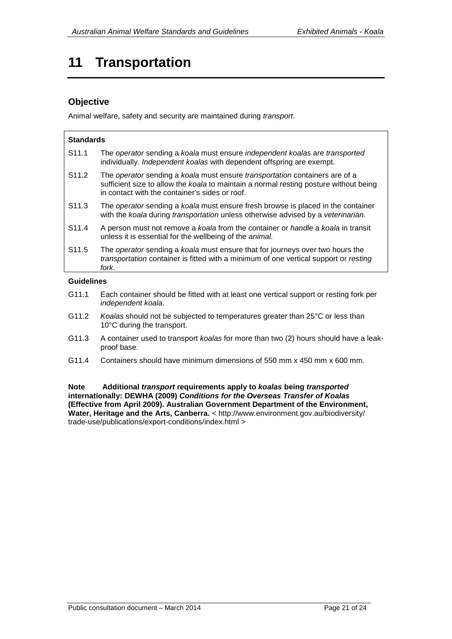# <span id="page-20-0"></span>**11 Transportation**

#### **Objective**

Animal welfare, safety and security are maintained during *transport*.

| <b>Standards</b>  |                                                                                                                                                                                                                                             |  |
|-------------------|---------------------------------------------------------------------------------------------------------------------------------------------------------------------------------------------------------------------------------------------|--|
| S <sub>11.1</sub> | The operator sending a koala must ensure independent koalas are transported<br>individually. Independent koalas with dependent offspring are exempt.                                                                                        |  |
| S <sub>11.2</sub> | The <i>operator</i> sending a <i>koala</i> must ensure <i>transportation</i> containers are of a<br>sufficient size to allow the koala to maintain a normal resting posture without being<br>in contact with the container's sides or roof. |  |
| S <sub>11.3</sub> | The operator sending a koala must ensure fresh browse is placed in the container<br>with the koala during transportation unless otherwise advised by a veterinarian.                                                                        |  |
| S <sub>11.4</sub> | A person must not remove a <i>koala</i> from the container or <i>handle</i> a <i>koala</i> in transit<br>unless it is essential for the wellbeing of the <i>animal</i> .                                                                    |  |
| S <sub>11.5</sub> | The <i>operator</i> sending a <i>koala</i> must ensure that for journeys over two hours the<br>transportation container is fitted with a minimum of one vertical support or resting<br>fork.                                                |  |

#### **Guidelines**

- G11.1 Each container should be fitted with at least one vertical support or resting fork per *independent koala*.
- G11.2 *Koalas* should not be subjected to temperatures greater than 25°C or less than 10°C during the transport.
- G11.3 A container used to transport *koalas* for more than two (2) hours should have a leakproof base.
- G11.4 Containers should have minimum dimensions of 550 mm x 450 mm x 600 mm.

**Note Additional** *transport* **requirements apply to** *koalas* **being** *transported* **internationally: DEWHA (2009)** *Conditions for the Overseas Transfer of Koalas* **(Effective from April 2009). Australian Government Department of the Environment, Water, Heritage and the Arts, Canberra.** < http://www.environment.gov.au/biodiversity/ trade-use/publications/export-conditions/index.html >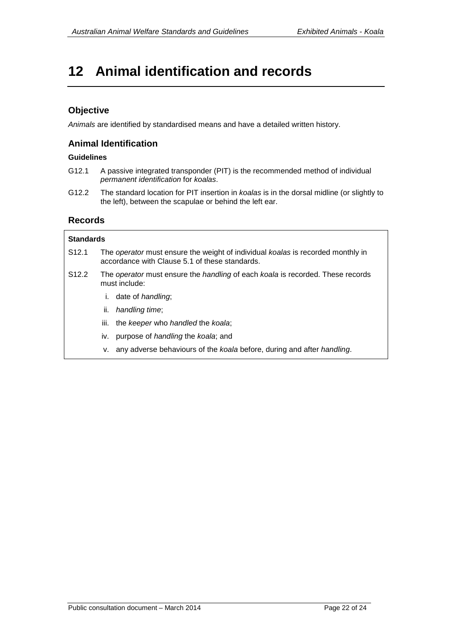# <span id="page-21-0"></span>**12 Animal identification and records**

#### **Objective**

*Animals* are identified by standardised means and have a detailed written history.

#### **Animal Identification**

#### **Guidelines**

- G12.1 A passive integrated transponder (PIT) is the recommended method of individual *permanent identification* for *koalas*.
- G12.2 The standard location for PIT insertion in *koalas* is in the dorsal midline (or slightly to the left), between the scapulae or behind the left ear.

#### **Records**

| <b>Standards</b>  |                                                                                                                                                 |  |  |  |  |  |  |
|-------------------|-------------------------------------------------------------------------------------------------------------------------------------------------|--|--|--|--|--|--|
| S <sub>12.1</sub> | The <i>operator</i> must ensure the weight of individual <i>koalas</i> is recorded monthly in<br>accordance with Clause 5.1 of these standards. |  |  |  |  |  |  |
| S <sub>12.2</sub> | The operator must ensure the handling of each koala is recorded. These records<br>must include:                                                 |  |  |  |  |  |  |
|                   | date of <i>handling</i> ;<br>L.                                                                                                                 |  |  |  |  |  |  |
|                   | handling time;<br>н.                                                                                                                            |  |  |  |  |  |  |
|                   | the keeper who handled the koala;<br>III.                                                                                                       |  |  |  |  |  |  |
|                   | purpose of <i>handling</i> the <i>koala</i> ; and<br>IV.                                                                                        |  |  |  |  |  |  |
|                   | v. any adverse behaviours of the koala before, during and after handling.                                                                       |  |  |  |  |  |  |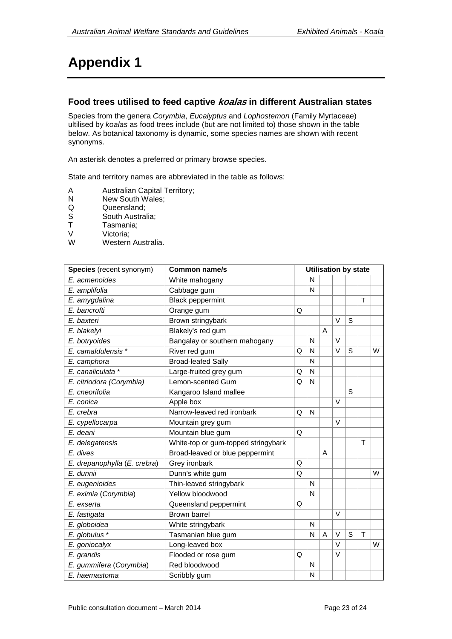# <span id="page-22-0"></span>**Appendix 1**

#### **Food trees utilised to feed captive koalas in different Australian states**

Species from the genera *Corymbia*, *Eucalyptus* and *Lophostemon* (Family Myrtaceae) ultilised by *koalas* as food trees include (but are not limited to) those shown in the table below. As botanical taxonomy is dynamic, some species names are shown with recent synonyms.

An asterisk denotes a preferred or primary browse species.

State and territory names are abbreviated in the table as follows:

- A Australian Capital Territory;<br>N New South Wales:
- N New South Wales;<br>Q Queensland;
- Q Queensland;<br>S South Austra
- S South Australia;<br>T Tasmania;
- T Tasmania;<br>V Victoria:
- V Victoria;<br>W Western
- Western Australia.

| Species (recent synonym)     | <b>Common name/s</b>                |   | <b>Utilisation by state</b> |                |        |   |   |   |
|------------------------------|-------------------------------------|---|-----------------------------|----------------|--------|---|---|---|
| E. acmenoides                | White mahogany                      |   | N                           |                |        |   |   |   |
| E. amplifolia                | Cabbage gum                         |   | N                           |                |        |   |   |   |
| E. amygdalina                | <b>Black peppermint</b>             |   |                             |                |        |   | T |   |
| E. bancrofti                 | Orange gum                          | Q |                             |                |        |   |   |   |
| E. baxteri                   | Brown stringybark                   |   |                             |                | $\vee$ | S |   |   |
| E. blakelyi                  | Blakely's red gum                   |   |                             | $\overline{A}$ |        |   |   |   |
| E. botryoides                | Bangalay or southern mahogany       |   | N                           |                | $\vee$ |   |   |   |
| E. camaldulensis *           | River red gum                       | Q | N                           |                | $\vee$ | S |   | W |
| E. camphora                  | <b>Broad-leafed Sally</b>           |   | N                           |                |        |   |   |   |
| E. canaliculata *            | Large-fruited grey gum              | Q | N                           |                |        |   |   |   |
| E. citriodora (Corymbia)     | Lemon-scented Gum                   | Q | N                           |                |        |   |   |   |
| E. cneorifolia               | Kangaroo Island mallee              |   |                             |                |        | S |   |   |
| E. conica                    | Apple box                           |   |                             |                | $\vee$ |   |   |   |
| E. crebra                    | Narrow-leaved red ironbark          | Q | N                           |                |        |   |   |   |
| E. cypellocarpa              | Mountain grey gum                   |   |                             |                | $\vee$ |   |   |   |
| E. deani                     | Mountain blue gum                   | Q |                             |                |        |   |   |   |
| E. delegatensis              | White-top or gum-topped stringybark |   |                             |                |        |   | T |   |
| E. dives                     | Broad-leaved or blue peppermint     |   |                             | A              |        |   |   |   |
| E. drepanophylla (E. crebra) | Grey ironbark                       | Q |                             |                |        |   |   |   |
| E. dunnii                    | Dunn's white gum                    | Q |                             |                |        |   |   | W |
| E. eugenioides               | Thin-leaved stringybark             |   | N                           |                |        |   |   |   |
| E. eximia (Corymbia)         | Yellow bloodwood                    |   | N                           |                |        |   |   |   |
| E. exserta                   | Queensland peppermint               | Q |                             |                |        |   |   |   |
| E. fastigata                 | <b>Brown barrel</b>                 |   |                             |                | $\vee$ |   |   |   |
| E. globoidea                 | White stringybark                   |   | N                           |                |        |   |   |   |
| E. globulus*                 | Tasmanian blue gum                  |   | N                           | A              | $\vee$ | S | T |   |
| E. goniocalyx                | Long-leaved box                     |   |                             |                | $\vee$ |   |   | W |
| E. grandis                   | Flooded or rose gum                 | Q |                             |                | $\vee$ |   |   |   |
| E. gummifera (Corymbia)      | Red bloodwood                       |   | N                           |                |        |   |   |   |
| E. haemastoma                | Scribbly gum                        |   | N                           |                |        |   |   |   |